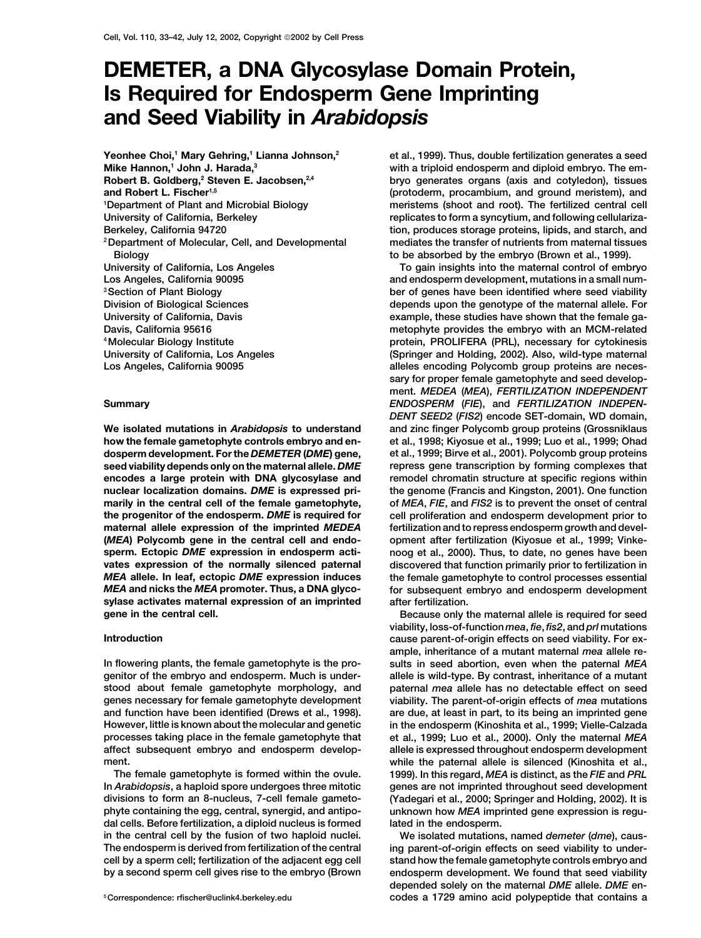# **DEMETER, a DNA Glycosylase Domain Protein, Is Required for Endosperm Gene Imprinting and Seed Viability in** *Arabidopsis*

Yeonhee Choi,<sup>1</sup> Mary Gehring,<sup>1</sup> Lianna Johnson,<sup>2</sup> **Mike Hannon,1 John J. Harada,3** Robert B. Goldberg,<sup>2</sup> Steven E. Jacobsen,<sup>2,4</sup> **and Robert L. Fischer1,5 1 Department of Plant and Microbial Biology**

**how the female gametophyte controls embryo and en- et al., 1998; Kiyosue et al., 1999; Luo et al., 1999; Ohad dosperm development. For the** *DEMETER* **(***DME***) gene, et al., 1999; Birve et al., 2001). Polycomb group proteins encodes a large protein with DNA glycosylase and remodel chromatin structure at specific regions within nuclear localization domains.** *DME* **is expressed pri- the genome (Francis and Kingston, 2001). One function marily in the central cell of the female gametophyte, of** *MEA***,** *FIE***, and** *FIS2* **is to prevent the onset of central the progenitor of the endosperm.** *DME* **is required for cell proliferation and endosperm development prior to maternal allele expression of the imprinted** *MEDEA* **fertilization and to repress endosperm growth and devel- (***MEA***) Polycomb gene in the central cell and endo- opment after fertilization (Kiyosue et al., 1999; Vinkevates expression of the normally silenced paternal discovered that function primarily prior to fertilization in sylase activates maternal expression of an imprinted after fertilization. gene in the central cell. Because only the maternal allele is required for seed**

**genitor of the embryo and endosperm. Much is under- allele is wild-type. By contrast, inheritance of a mutant stood about female gametophyte morphology, and paternal** *mea* **allele has no detectable effect on seed genes necessary for female gametophyte development viability. The parent-of-origin effects of** *mea* **mutations and function have been identified (Drews et al., 1998). are due, at least in part, to its being an imprinted gene However, little is known about the molecular and genetic in the endosperm (Kinoshita et al., 1999; Vielle-Calzada processes taking place in the female gametophyte that et al., 1999; Luo et al., 2000). Only the maternal** *MEA* **affect subsequent embryo and endosperm develop- allele is expressed throughout endosperm development**

**phyte containing the egg, central, synergid, and antipo- unknown how** *MEA* **imprinted gene expression is regudal cells. Before fertilization, a diploid nucleus is formed lated in the endosperm. in the central cell by the fusion of two haploid nuclei. We isolated mutations, named** *demeter* **(***dme***), caus-**

**et al., 1999). Thus, double fertilization generates a seed with a triploid endosperm and diploid embryo. The embryo generates organs (axis and cotyledon), tissues (protoderm, procambium, and ground meristem), and meristems (shoot and root). The fertilized central cell** University of California, Berkeley **replicates to form a syncytium, and following cellulariza-Berkeley, California 94720 tion, produces storage proteins, lipids, and starch, and 2Department of Molecular, Cell, and Developmental mediates the transfer of nutrients from maternal tissues Biology to be absorbed by the embryo (Brown et al., 1999).**

University of California, Los Angeles **The Contract Contract Contract Contract Contract Contract Contract Contract Contract Contract Contract Contract Contract Contract Contract Contract Contract Contract Contract Contract Los Angeles, California 90095 and endosperm development, mutations in a small num- 3Section of Plant Biology ber of genes have been identified where seed viability Division of Biological Sciences depends upon the genotype of the maternal allele. For** University of California, Davis **business and intervally example**, these studies have shown that the female ga-**Davis, California 95616 metophyte provides the embryo with an MCM-related 4Molecular Biology Institute protein, PROLIFERA (PRL), necessary for cytokinesis University of California, Los Angeles (Springer and Holding, 2002). Also, wild-type maternal Los Angeles, California 90095 alleles encoding Polycomb group proteins are necessary for proper female gametophyte and seed development.** *MEDEA* **(***MEA***),** *FERTILIZATION INDEPENDENT* **Summary** *ENDOSPERM* **(***FIE***), and** *FERTILIZATION INDEPEN-DENT SEED2* **(***FIS2***) encode SET-domain, WD domain, We isolated mutations in** *Arabidopsis* **to understand and zinc finger Polycomb group proteins (Grossniklaus seed viability depends only on the maternal allele.** *DME* **repress gene transcription by forming complexes that sperm. Ectopic** *DME* **expression in endosperm acti- noog et al., 2000). Thus, to date, no genes have been** *MEA* **allele. In leaf, ectopic** *DME* **expression induces the female gametophyte to control processes essential** *MEA* **and nicks the** *MEA* **promoter. Thus, a DNA glyco- for subsequent embryo and endosperm development**

**viability, loss-of-function** *mea***,** *fie***,** *fis2***, and** *prl* **mutations Introduction cause parent-of-origin effects on seed viability. For example, inheritance of a mutant maternal** *mea* **allele re-In flowering plants, the female gametophyte is the pro- sults in seed abortion, even when the paternal** *MEA* **ment. while the paternal allele is silenced (Kinoshita et al., The female gametophyte is formed within the ovule. 1999). In this regard,** *MEA* **is distinct, as the** *FIE* **and** *PRL* **In** *Arabidopsis***, a haploid spore undergoes three mitotic genes are not imprinted throughout seed development divisions to form an 8-nucleus, 7-cell female gameto- (Yadegari et al., 2000; Springer and Holding, 2002). It is**

**The endosperm is derived from fertilization of the central ing parent-of-origin effects on seed viability to undercell by a sperm cell; fertilization of the adjacent egg cell stand how the female gametophyte controls embryo and by a second sperm cell gives rise to the embryo (Brown endosperm development. We found that seed viability depended solely on the maternal** *DME* **allele.** *DME* **encodes a 1729 amino acid polypeptide that contains a <sup>5</sup> Correspondence: rfischer@uclink4.berkeley.edu**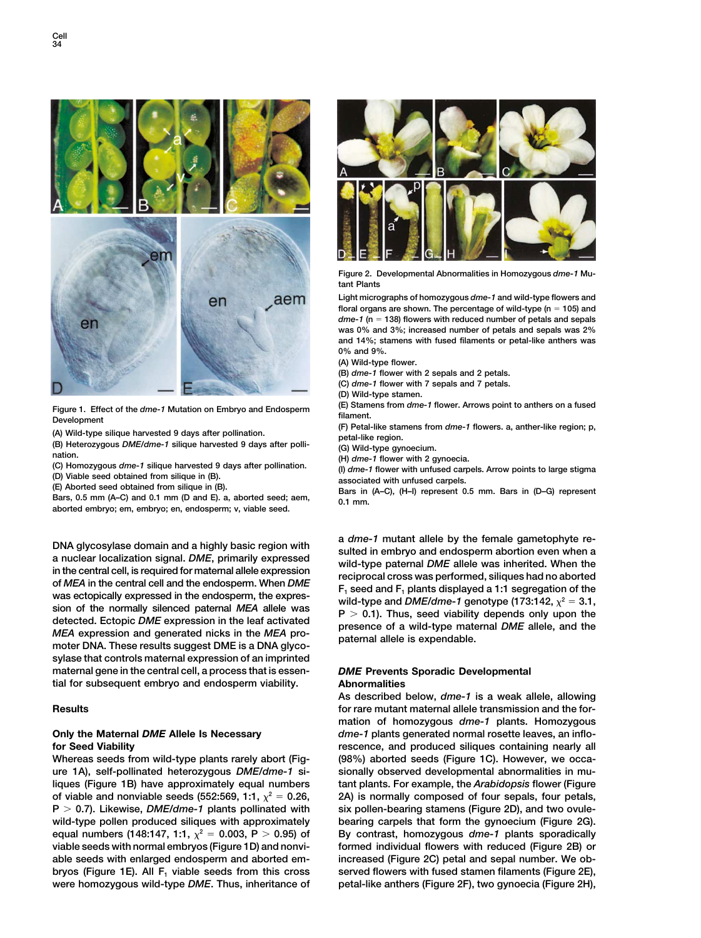

Figure 1. Effect of the *dme-1* Mutation on Embryo and Endosperm<br>
(A) Wild-type silique harvested 9 days after pollination.<br>
(A) Wild-type silique harvested 9 days after pollination.<br>
(B) Heterozygous *DME/dme-1* silique

**aborted embryo; em, embryo; en, endosperm; v, viable seed.**

was ectopically expressed in the endosperm, the expres-<br>sion of the normally silenced paternal MEA allele was<br>detected. Ectopic DME expression in the leaf activated<br>MEA expression and generated nicks in the MEA pro-<br>moter **sylase that controls maternal expression of an imprinted maternal gene in the central cell, a process that is essen-** *DME* **Prevents Sporadic Developmental tial for subsequent embryo and endosperm viability. Abnormalities**

**Whereas seeds from wild-type plants rarely abort (Fig- (98%) aborted seeds (Figure 1C). However, we occaure 1A), self-pollinated heterozygous** *DME/dme-1* **si- sionally observed developmental abnormalities in muliques (Figure 1B) have approximately equal numbers tant plants. For example, the** *Arabidopsis* **flower (Figure** of viable and nonviable seeds (552:569, 1:1,  $\chi^2 = 0.26$ , **P 0.7). Likewise,** *DME/dme-1* **plants pollinated with six pollen-bearing stamens (Figure 2D), and two ovule**wild-type pollen produced siliques with approximately bearing carpels that form the gynoecium (Figure 2G). equal numbers (148:147, 1:1,  $\chi^2$  = 0.003, P > 0.95) of **viable seeds with normal embryos (Figure 1D) and nonvi- formed individual flowers with reduced (Figure 2B) or able seeds with enlarged endosperm and aborted em- increased (Figure 2C) petal and sepal number. We obbryos (Figure 1E). All F<sub>1</sub> viable seeds from this cross served flowers with fused stamen filaments (Figure 2E), were homozygous wild-type** *DME***. Thus, inheritance of petal-like anthers (Figure 2F), two gynoecia (Figure 2H),**



**Figure 2. Developmental Abnormalities in Homozygous** *dme-1* **Mutant Plants**

**Light micrographs of homozygous** *dme-1* **and wild-type flowers and floral organs are shown. The percentage of wild-type (n 105) and** *dme-1* **(n 138) flowers with reduced number of petals and sepals was 0% and 3%; increased number of petals and sepals was 2% and 14%; stamens with fused filaments or petal-like anthers was 0% and 9%.**

**(A) Wild-type flower.**

**(B)** *dme-1* **flower with 2 sepals and 2 petals.**

**(C)** *dme-1* **flower with 7 sepals and 7 petals.**

**(D) Wild-type stamen.**

DNA glycosylase domain and a highly basic region with<br>a nuclear localization signal. DME, primarily expressed<br>in the central cell, is required for maternal allele expression<br>of MEA in the central cell and the endosperm. W

**As described below,** *dme-1* **is a weak allele, allowing Results for rare mutant maternal allele transmission and the formation of homozygous** *dme-1* **plants. Homozygous Only the Maternal** *DME* **Allele Is Necessary** *dme-1* **plants generated normal rosette leaves, an inflofor Seed Viability rescence, and produced siliques containing nearly all <sup>2</sup> 0.26, 2A) is normally composed of four sepals, four petals, By contrast, homozygous** *dme-1* **plants sporadically <sup>2</sup> 0.003, P 0.95) of**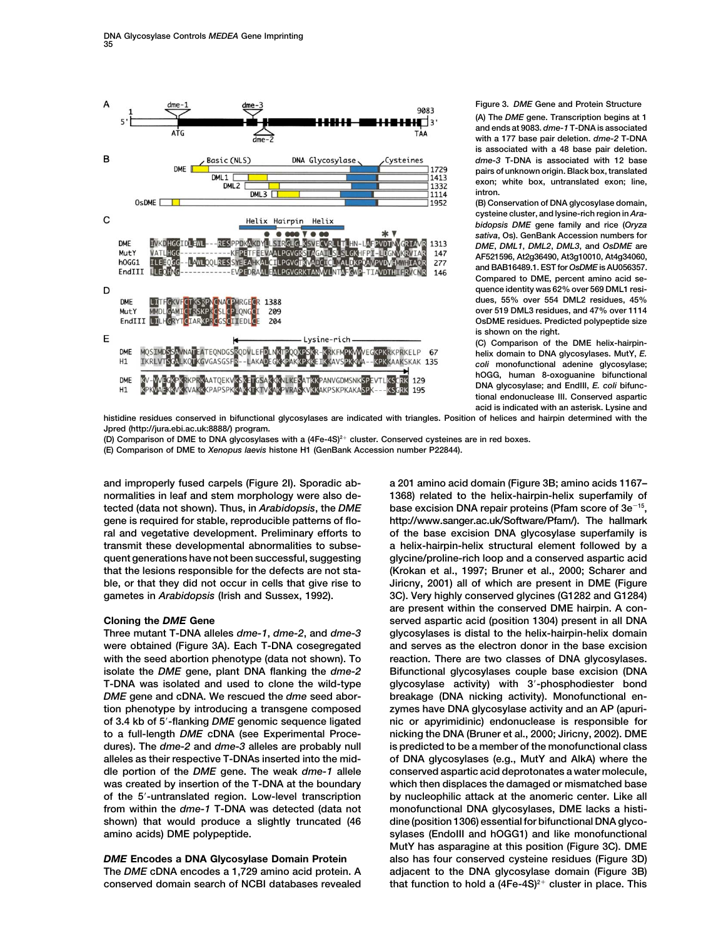

**Figure 3.** *DME* **Gene and Protein Structure**

**(A) The** *DME* **gene. Transcription begins at 1 and ends at 9083.** *dme-1* **T-DNA is associated with a 177 base pair deletion.** *dme-2* **T-DNA is associated with a 48 base pair deletion.** *dme-3* **T-DNA is associated with 12 base pairs of unknown origin. Black box, translated exon; white box, untranslated exon; line, intron.**

**(B) Conservation of DNA glycosylase domain, cysteine cluster, and lysine-rich region in** *Arabidopsis DME* **gene family and rice (***Oryza sativa***, Os). GenBank Accession numbers for** *DME***,** *DML1***,** *DML2***,** *DML3***, and** *OsDME* **are AF521596, At2g36490, At3g10010, At4g34060, and BAB16489.1. EST for** *OsDME* **is AU056357. Compared to DME, percent amino acid sequence identity was 62% over 569 DML1 residues, 55% over 554 DML2 residues, 45% over 519 DML3 residues, and 47% over 1114 OsDME residues. Predicted polypeptide size is shown on the right.**

**(C) Comparison of the DME helix-hairpinhelix domain to DNA glycosylases. MutY,** *E. coli* **monofunctional adenine glycosylase; hOGG, human 8-oxoguanine bifunctional DNA glycosylase; and EndIII,** *E. coli* **bifunctional endonuclease III. Conserved aspartic acid is indicated with an asterisk. Lysine and**

**histidine residues conserved in bifunctional glycosylases are indicated with triangles. Position of helices and hairpin determined with the Jpred (http://jura.ebi.ac.uk:8888/) program.**

**(D) Comparison of DME to DNA glycosylases with a (4Fe-4S)2 cluster. Conserved cysteines are in red boxes. (E) Comparison of DME to** *Xenopus laevis* **histone H1 (GenBank Accession number P22844).**

**Three mutant T-DNA alleles** *dme-1***,** *dme-2***, and** *dme-3* **glycosylases is distal to the helix-hairpin-helix domain were obtained (Figure 3A). Each T-DNA cosegregated and serves as the electron donor in the base excision** with the seed abortion phenotype (data not shown). To reaction. There are two classes of DNA glycosylases. **isolate the** *DME* **gene, plant DNA flanking the** *dme-2* **Bifunctional glycosylases couple base excision (DNA T-DNA was isolated and used to clone the wild-type glycosylase activity) with 3-phosphodiester bond** *DME* **gene and cDNA. We rescued the** *dme* **seed abor- breakage (DNA nicking activity). Monofunctional ention phenotype by introducing a transgene composed zymes have DNA glycosylase activity and an AP (apuriof 3.4 kb of 5-flanking** *DME* **genomic sequence ligated nic or apyrimidinic) endonuclease is responsible for to a full-length** *DME* **cDNA (see Experimental Proce- nicking the DNA (Bruner et al., 2000; Jiricny, 2002). DME dures). The** *dme-2* **and** *dme-3* **alleles are probably null is predicted to be a member of the monofunctional class alleles as their respective T-DNAs inserted into the mid- of DNA glycosylases (e.g., MutY and AlkA) where the dle portion of the** *DME* **gene. The weak** *dme-1* **allele conserved aspartic acid deprotonates a water molecule, was created by insertion of the T-DNA at the boundary which then displaces the damaged or mismatched base of the 5-untranslated region. Low-level transcription by nucleophilic attack at the anomeric center. Like all from within the** *dme-1* **T-DNA was detected (data not monofunctional DNA glycosylases, DME lacks a histi**shown) that would produce a slightly truncated (46 dine (position 1306) essential for bifunctional DNA glyco-

**that function to hold a (4Fe-4S)<sup>2+</sup> cluster in place. This** conserved domain search of NCBI databases revealed that function to hold a (4Fe-4S)<sup>2+</sup> cluster in place. This

**and improperly fused carpels (Figure 2I). Sporadic ab- a 201 amino acid domain (Figure 3B; amino acids 1167– normalities in leaf and stem morphology were also de- 1368) related to the helix-hairpin-helix superfamily of tected (data not shown). Thus, in** *Arabidopsis***, the** *DME* **base excision DNA repair proteins (Pfam score of 3e15, gene is required for stable, reproducible patterns of flo- http://www.sanger.ac.uk/Software/Pfam/). The hallmark ral and vegetative development. Preliminary efforts to of the base excision DNA glycosylase superfamily is transmit these developmental abnormalities to subse- a helix-hairpin-helix structural element followed by a quent generations have not been successful, suggesting glycine/proline-rich loop and a conserved aspartic acid that the lesions responsible for the defects are not sta- (Krokan et al., 1997; Bruner et al., 2000; Scharer and ble, or that they did not occur in cells that give rise to Jiricny, 2001) all of which are present in DME (Figure gametes in** *Arabidopsis* **(Irish and Sussex, 1992). 3C). Very highly conserved glycines (G1282 and G1284) are present within the conserved DME hairpin. A con-Cloning the** *DME* **Gene served aspartic acid (position 1304) present in all DNA amino acids) DME polypeptide. sylases (EndoIII and hOGG1) and like monofunctional MutY has asparagine at this position (Figure 3C). DME** *DME* **Encodes a DNA Glycosylase Domain Protein also has four conserved cysteine residues (Figure 3D) The** *DME* **cDNA encodes a 1,729 amino acid protein. A adjacent to the DNA glycosylase domain (Figure 3B)**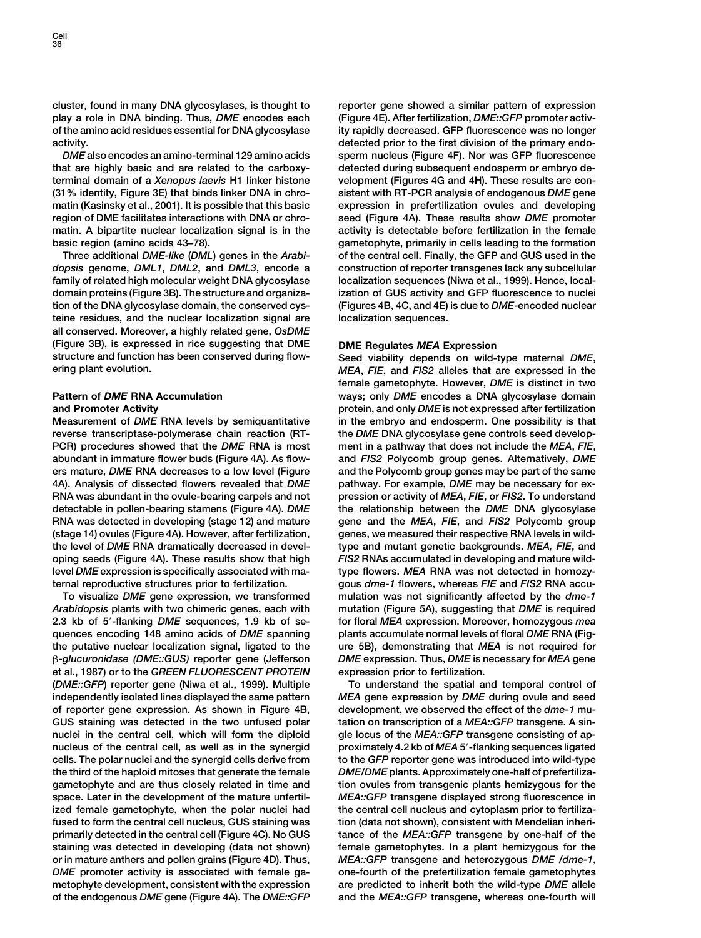**cluster, found in many DNA glycosylases, is thought to reporter gene showed a similar pattern of expression play a role in DNA binding. Thus,** *DME* **encodes each (Figure 4E). After fertilization,** *DME::GFP* **promoter activof the amino acid residues essential for DNA glycosylase ity rapidly decreased. GFP fluorescence was no longer**

**that are highly basic and are related to the carboxy- detected during subsequent endosperm or embryo determinal domain of a** *Xenopus laevis* **H1 linker histone velopment (Figures 4G and 4H). These results are con- (31% identity, Figure 3E) that binds linker DNA in chro- sistent with RT-PCR analysis of endogenous** *DME* **gene matin (Kasinsky et al., 2001). It is possible that this basic expression in prefertilization ovules and developing region of DME facilitates interactions with DNA or chro- seed (Figure 4A). These results show** *DME* **promoter matin. A bipartite nuclear localization signal is in the activity is detectable before fertilization in the female basic region (amino acids 43–78). gametophyte, primarily in cells leading to the formation**

*dopsis* **genome,** *DML1***,** *DML2***, and** *DML3***, encode a construction of reporter transgenes lack any subcellular family of related high molecular weight DNA glycosylase localization sequences (Niwa et al., 1999). Hence, localdomain proteins (Figure 3B). The structure and organiza- ization of GUS activity and GFP fluorescence to nuclei tion of the DNA glycosylase domain, the conserved cys- (Figures 4B, 4C, and 4E) is due to** *DME***-encoded nuclear teine residues, and the nuclear localization signal are localization sequences. all conserved. Moreover, a highly related gene,** *OsDME* **(Figure 3B), is expressed in rice suggesting that DME DME Regulates** *MEA* **Expression structure and function has been conserved during flow- Seed viability depends on wild-type maternal** *DME***,**

**reverse transcriptase-polymerase chain reaction (RT- the** *DME* **DNA glycosylase gene controls seed develop-PCR) procedures showed that the** *DME* **RNA is most ment in a pathway that does not include the** *MEA***,** *FIE***, abundant in immature flower buds (Figure 4A). As flow- and** *FIS2* **Polycomb group genes. Alternatively,** *DME* **ers mature,** *DME* **RNA decreases to a low level (Figure and the Polycomb group genes may be part of the same 4A). Analysis of dissected flowers revealed that** *DME* **pathway. For example,** *DME* **may be necessary for ex-RNA was abundant in the ovule-bearing carpels and not pression or activity of** *MEA***,** *FIE***, or** *FIS2***. To understand detectable in pollen-bearing stamens (Figure 4A).** *DME* **the relationship between the** *DME* **DNA glycosylase RNA was detected in developing (stage 12) and mature gene and the** *MEA***,** *FIE***, and** *FIS2* **Polycomb group (stage 14) ovules (Figure 4A). However, after fertilization, genes, we measured their respective RNA levels in wildthe level of** *DME* **RNA dramatically decreased in devel- type and mutant genetic backgrounds.** *MEA, FIE***, and oping seeds (Figure 4A). These results show that high** *FIS2* **RNAs accumulated in developing and mature wildlevel** *DME* **expression is specifically associated with ma- type flowers.** *MEA* **RNA was not detected in homozyternal reproductive structures prior to fertilization. gous** *dme-1* **flowers, whereas** *FIE* **and** *FIS2* **RNA accu-**

*Arabidopsis* **plants with two chimeric genes, each with mutation (Figure 5A), suggesting that** *DME* **is required 2.3 kb of 5-flanking** *DME* **sequences, 1.9 kb of se- for floral** *MEA* **expression. Moreover, homozygous** *mea* **quences encoding 148 amino acids of** *DME* **spanning plants accumulate normal levels of floral** *DME* **RNA (Figthe putative nuclear localization signal, ligated to the ure 5B), demonstrating that** *MEA* **is not required for** *-glucuronidase (DME::GUS)* **reporter gene (Jefferson** *DME* **expression. Thus,** *DME* **is necessary for** *MEA* **gene et al., 1987) or to the** *GREEN FLUORESCENT PROTEIN* **expression prior to fertilization. (***DME::GFP***) reporter gene (Niwa et al., 1999). Multiple To understand the spatial and temporal control of independently isolated lines displayed the same pattern** *MEA* **gene expression by** *DME* **during ovule and seed of reporter gene expression. As shown in Figure 4B, development, we observed the effect of the** *dme-1* **mu-GUS staining was detected in the two unfused polar tation on transcription of a** *MEA::GFP* **transgene. A sinnuclei in the central cell, which will form the diploid gle locus of the** *MEA::GFP* **transgene consisting of apnucleus of the central cell, as well as in the synergid proximately 4.2 kb of** *MEA* **5-flanking sequences ligated cells. The polar nuclei and the synergid cells derive from to the** *GFP* **reporter gene was introduced into wild-type the third of the haploid mitoses that generate the female** *DME/DME* **plants. Approximately one-half of prefertilizagametophyte and are thus closely related in time and tion ovules from transgenic plants hemizygous for the space. Later in the development of the mature unfertil-** *MEA::GFP* **transgene displayed strong fluorescence in** ized female gametophyte, when the polar nuclei had the central cell nucleus and cytoplasm prior to fertiliza**fused to form the central cell nucleus, GUS staining was tion (data not shown), consistent with Mendelian inheriprimarily detected in the central cell (Figure 4C). No GUS tance of the** *MEA::GFP* **transgene by one-half of the staining was detected in developing (data not shown) female gametophytes. In a plant hemizygous for the or in mature anthers and pollen grains (Figure 4D). Thus,** *MEA::GFP* **transgene and heterozygous** *DME /dme-1***,** *DME* **promoter activity is associated with female ga- one-fourth of the prefertilization female gametophytes metophyte development, consistent with the expression are predicted to inherit both the wild-type** *DME* **allele of the endogenous** *DME* **gene (Figure 4A). The** *DME::GFP* **and the** *MEA::GFP* **transgene, whereas one-fourth will**

**activity. detected prior to the first division of the primary endo-***DME* **also encodes an amino-terminal 129 amino acids sperm nucleus (Figure 4F). Nor was GFP fluorescence Three additional** *DME-like* **(***DML***) genes in the** *Arabi-* **of the central cell. Finally, the GFP and GUS used in the**

**ering plant evolution.** *MEA***,** *FIE***, and** *FIS2* **alleles that are expressed in the female gametophyte. However,** *DME* **is distinct in two Pattern of** *DME* **RNA Accumulation ways; only** *DME* **encodes a DNA glycosylase domain and Promoter Activity protein, and only** *DME* **is not expressed after fertilization Measurement of** *DME* **RNA levels by semiquantitative in the embryo and endosperm. One possibility is that To visualize** *DME* **gene expression, we transformed mulation was not significantly affected by the** *dme-1*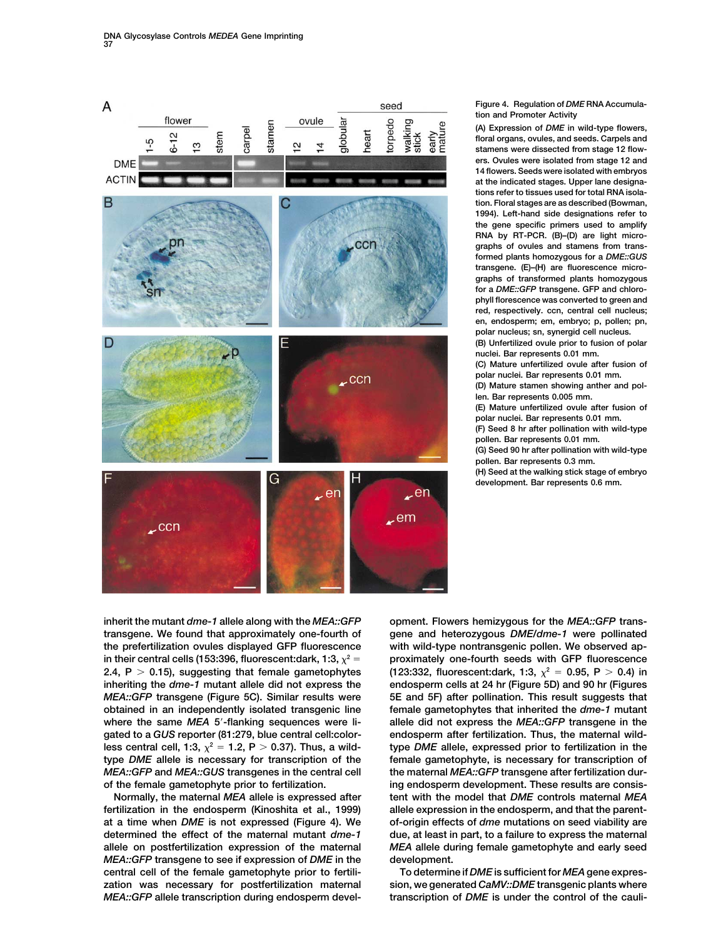

### **Figure 4. Regulation of** *DME* **RNA Accumulation and Promoter Activity**

**(A) Expression of** *DME* **in wild-type flowers, floral organs, ovules, and seeds. Carpels and stamens were dissected from stage 12 flowers. Ovules were isolated from stage 12 and 14 flowers. Seeds were isolated with embryos at the indicated stages. Upper lane designations refer to tissues used for total RNA isolation. Floral stages are as described (Bowman, 1994). Left-hand side designations refer to the gene specific primers used to amplify RNA by RT-PCR. (B)–(D) are light micrographs of ovules and stamens from transformed plants homozygous for a** *DME::GUS* **transgene. (E)–(H) are fluorescence micrographs of transformed plants homozygous for a** *DME::GFP* **transgene. GFP and chlorophyll florescence was converted to green and red, respectively. ccn, central cell nucleus; en, endosperm; em, embryo; p, pollen; pn, polar nucleus; sn, synergid cell nucleus. (B) Unfertilized ovule prior to fusion of polar nuclei. Bar represents 0.01 mm. (C) Mature unfertilized ovule after fusion of polar nuclei. Bar represents 0.01 mm. (D) Mature stamen showing anther and pollen. Bar represents 0.005 mm. (E) Mature unfertilized ovule after fusion of polar nuclei. Bar represents 0.01 mm. (F) Seed 8 hr after pollination with wild-type pollen. Bar represents 0.01 mm. (G) Seed 90 hr after pollination with wild-type pollen. Bar represents 0.3 mm. (H) Seed at the walking stick stage of embryo development. Bar represents 0.6 mm.**

**inherit the mutant** *dme-1* **allele along with the** *MEA::GFP* **opment. Flowers hemizygous for the** *MEA::GFP* **transthe prefertilization ovules displayed GFP fluorescence with wild-type nontransgenic pollen. We observed ap**in their central cells (153:396, fluorescent:dark, 1:3,  $\chi^2$  = 2.4,  $P > 0.15$ ), suggesting that female gametophytes less central cell, 1:3,  $x^2 = 1.2$ , P  $> 0.37$ ). Thus, a wild-

*MEA::GFP* **transgene to see if expression of** *DME* **in the development. central cell of the female gametophyte prior to fertili- To determine if** *DME* **is sufficient for** *MEA***gene expreszation was necessary for postfertilization maternal sion, we generated** *CaMV::DME* **transgenic plants where** *MEA::GFP* **allele transcription during endosperm devel- transcription of** *DME* **is under the control of the cauli-**

**transgene. We found that approximately one-fourth of gene and heterozygous** *DME/dme-1* **were pollinated proximately one-fourth seeds with GFP fluorescence <sup>2</sup> (123:332, fluorescent:dark, 1:3,**  $\chi^2$  = 0.95, P > 0.4) in **inheriting the** *dme-1* **mutant allele did not express the endosperm cells at 24 hr (Figure 5D) and 90 hr (Figures** *MEA::GFP* transgene (Figure 5C). Similar results were 5E and 5F) after pollination. This result suggests that **obtained in an independently isolated transgenic line female gametophytes that inherited the** *dme-1* **mutant where the same** *MEA* **5-flanking sequences were li- allele did not express the** *MEA::GFP* **transgene in the gated to a** *GUS* **reporter (81:279, blue central cell:color- endosperm after fertilization. Thus, the maternal wild-<sup>2</sup> 1.2, P 0.37). Thus, a wild- type** *DME* **allele, expressed prior to fertilization in the type** *DME* **allele is necessary for transcription of the female gametophyte, is necessary for transcription of** *MEA::GFP* **and** *MEA::GUS* **transgenes in the central cell the maternal** *MEA::GFP* **transgene after fertilization durof the female gametophyte prior to fertilization. ing endosperm development. These results are consis-Normally, the maternal** *MEA* **allele is expressed after tent with the model that** *DME* **controls maternal** *MEA* **fertilization in the endosperm (Kinoshita et al., 1999) allele expression in the endosperm, and that the parentat a time when** *DME* **is not expressed (Figure 4). We of-origin effects of** *dme* **mutations on seed viability are determined the effect of the maternal mutant** *dme-1* **due, at least in part, to a failure to express the maternal allele on postfertilization expression of the maternal** *MEA* **allele during female gametophyte and early seed**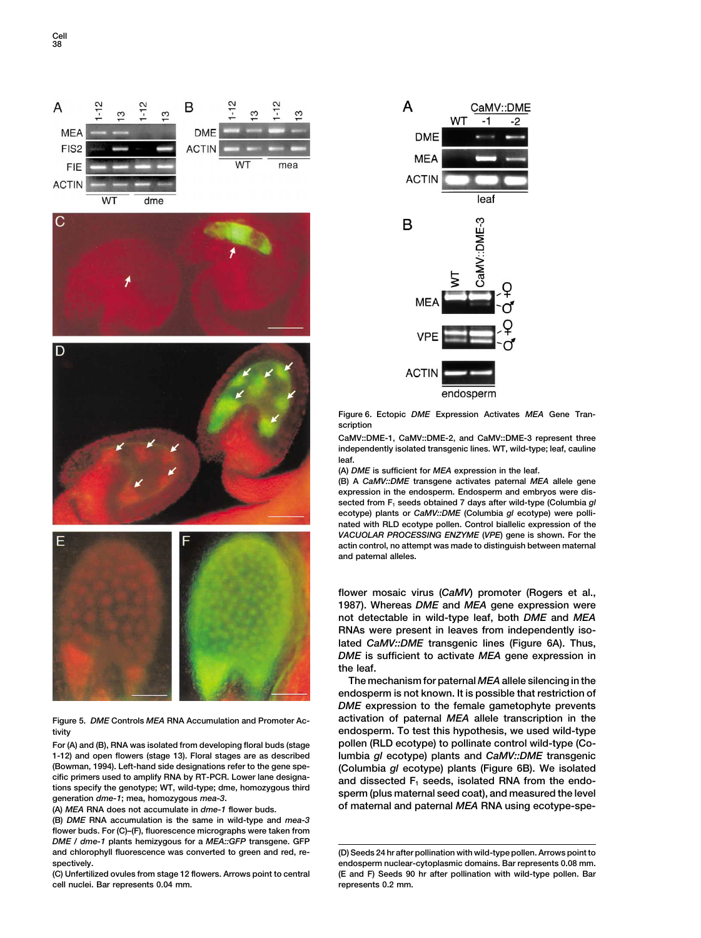







**1-12) and open flowers (stage 13). Floral stages are as described lumbia** *gl* **ecotype) plants and** *CaMV::DME* **transgenic (Bowman, 1994). Left-hand side designations refer to the gene spe- (Columbia** *gl* **ecotype) plants (Figure 6B). We isolated**

**(B)** *DME* **RNA accumulation is the same in wild-type and** *mea-3* **flower buds. For (C)–(F), fluorescence micrographs were taken from** *DME / dme-1* **plants hemizygous for a** *MEA::GFP* **transgene. GFP and chlorophyll fluorescence was converted to green and red, re- (D) Seeds 24 hr after pollination with wild-type pollen. Arrows point to spectively. endosperm nuclear-cytoplasmic domains. Bar represents 0.08 mm.**

**cell nuclei. Bar represents 0.04 mm. represents 0.2 mm.**



**Figure 6. Ectopic** *DME* **Expression Activates** *MEA* **Gene Transcription**

**CaMV::DME-1, CaMV::DME-2, and CaMV::DME-3 represent three independently isolated transgenic lines. WT, wild-type; leaf, cauline leaf.**

**(A)** *DME* **is sufficient for** *MEA* **expression in the leaf.**

**(B) A** *CaMV::DME* **transgene activates paternal** *MEA* **allele gene expression in the endosperm. Endosperm and embryos were dissected from F1 seeds obtained 7 days after wild-type (Columbia** *gl* **ecotype) plants or** *CaMV::DME* **(Columbia** *gl* **ecotype) were pollinated with RLD ecotype pollen. Control biallelic expression of the** *VACUOLAR PROCESSING ENZYME* **(***VPE***) gene is shown. For the actin control, no attempt was made to distinguish between maternal and paternal alleles.**

**flower mosaic virus (***CaMV***) promoter (Rogers et al., 1987). Whereas** *DME* **and** *MEA* **gene expression were not detectable in wild-type leaf, both** *DME* **and** *MEA* **RNAs were present in leaves from independently isolated** *CaMV::DME* **transgenic lines (Figure 6A). Thus,** *DME* **is sufficient to activate** *MEA* **gene expression in the leaf.**

**The mechanism for paternal** *MEA***allele silencing in the endosperm is not known. It is possible that restriction of** *DME* **expression to the female gametophyte prevents Figure 5.** *DME* **Controls** *MEA* **RNA Accumulation and Promoter Ac- activation of paternal** *MEA* **allele transcription in the tivity endosperm. To test this hypothesis, we used wild-type For (A) and (B), RNA was isolated from developing floral buds (stage pollen (RLD ecotype) to pollinate control wild-type (Co-**The primers used to amplify RNA by R1-PCR. Lower lane designa-<br>tions specify the genotype; WT, wild-type; dme, homozygous third<br>generation *dme-1*; mea, homozygous *mea-3*.<br>(A) MEA RNA does not accumulate in *dme-1* flowe

**(C) Unfertilized ovules from stage 12 flowers. Arrows point to central (E and F) Seeds 90 hr after pollination with wild-type pollen. Bar**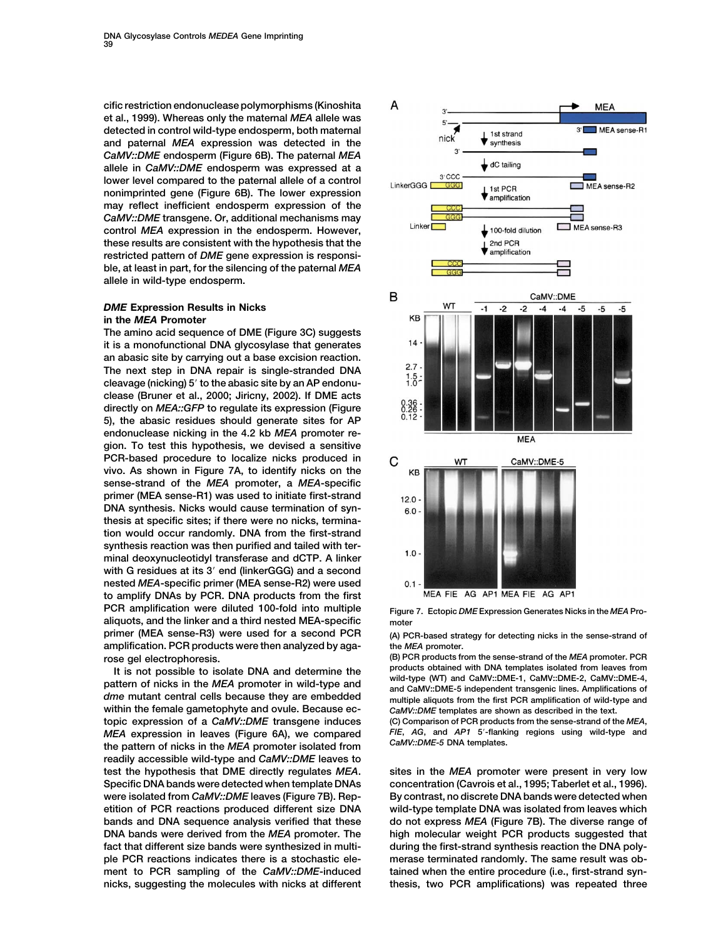**cific restriction endonuclease polymorphisms (Kinoshita et al., 1999). Whereas only the maternal** *MEA* **allele was detected in control wild-type endosperm, both maternal and paternal** *MEA* **expression was detected in the** *CaMV::DME* **endosperm (Figure 6B). The paternal** *MEA* **allele in** *CaMV::DME* **endosperm was expressed at a lower level compared to the paternal allele of a control nonimprinted gene (Figure 6B). The lower expression may reflect inefficient endosperm expression of the** *CaMV::DME* **transgene. Or, additional mechanisms may control** *MEA* **expression in the endosperm. However, these results are consistent with the hypothesis that the restricted pattern of** *DME* **gene expression is responsible, at least in part, for the silencing of the paternal** *MEA* **allele in wild-type endosperm.**

## *DME* **Expression Results in Nicks in the** *MEA* **Promoter**

**The amino acid sequence of DME (Figure 3C) suggests it is a monofunctional DNA glycosylase that generates an abasic site by carrying out a base excision reaction. The next step in DNA repair is single-stranded DNA cleavage (nicking) 5 to the abasic site by an AP endonuclease (Bruner et al., 2000; Jiricny, 2002). If DME acts directly on** *MEA::GFP* **to regulate its expression (Figure 5), the abasic residues should generate sites for AP endonuclease nicking in the 4.2 kb** *MEA* **promoter region. To test this hypothesis, we devised a sensitive PCR-based procedure to localize nicks produced in vivo. As shown in Figure 7A, to identify nicks on the sense-strand of the** *MEA* **promoter, a** *MEA***-specific primer (MEA sense-R1) was used to initiate first-strand DNA synthesis. Nicks would cause termination of synthesis at specific sites; if there were no nicks, termination would occur randomly. DNA from the first-strand synthesis reaction was then purified and tailed with terminal deoxynucleotidyl transferase and dCTP. A linker with G residues at its 3 end (linkerGGG) and a second nested** *MEA***-specific primer (MEA sense-R2) were used to amplify DNAs by PCR. DNA products from the first PCR amplification were diluted 100-fold into multiple Figure 7. Ectopic** *DME* **Expression Generates Nicks in the** *MEA* **Proaliquots, and the linker and a third nested MEA-specific moter primer (MEA sense-R3) were used for a second PCR (A) PCR-based strategy for detecting nicks in the sense-strand of amplification. PCR products were then analyzed by aga- the** *MEA* **promoter.**

It is not possible to isolate DNA and determine the<br>partier of nicks in the MEA promoter in wild-type and<br>drawwild-type (WT) and CaMV::DME-1, CaMV::DME-2, CaMV::DME-4,<br>and CaMV::DME-1, CaMV::DME-2, CaMV::DME-4,<br>drawing en **within the female gametophyte and ovule. Because ec-** *CaMV::DME* **templates are shown as described in the text. topic expression of a** *CaMV::DME* **transgene induces (C) Comparison of PCR products from the sense-strand of the** *MEA***,** *MFA* **expression in leaves (Figure 6A) we compared FIE, AG, and AP1 5'-flanking regions using wild-typ** *MEA* expression in leaves (Figure 6A), we compared *FIE*, AG, and AP1 5'-flanking the nattern of picks in the *MEA* promoter isolated from CaMV::DME-5 DNA templates. fine pattern of nicks in the *MEA* promoter isolated from **readily accessible wild-type and** *CaMV::DME* **leaves to Specific DNA bands were detected when template DNAs concentration (Cavrois et al., 1995; Taberlet et al., 1996). fact that different size bands were synthesized in multi- during the first-strand synthesis reaction the DNA polyple PCR reactions indicates there is a stochastic ele- merase terminated randomly. The same result was obment to PCR sampling of the** *CaMV::DME***-induced tained when the entire procedure (i.e., first-strand syn-**



**rose gel electrophoresis. (B) PCR products from the sense-strand of the** *MEA* **promoter. PCR**

**test the hypothesis that DME directly regulates** *MEA***. sites in the** *MEA* **promoter were present in very low were isolated from** *CaMV::DME* **leaves (Figure 7B). Rep- By contrast, no discrete DNA bands were detected when etition of PCR reactions produced different size DNA wild-type template DNA was isolated from leaves which bands and DNA sequence analysis verified that these** do not express *MEA* (Figure 7B). The diverse range of **DNA bands were derived from the** *MEA* **promoter. The high molecular weight PCR products suggested that nicks, suggesting the molecules with nicks at different thesis, two PCR amplifications) was repeated three**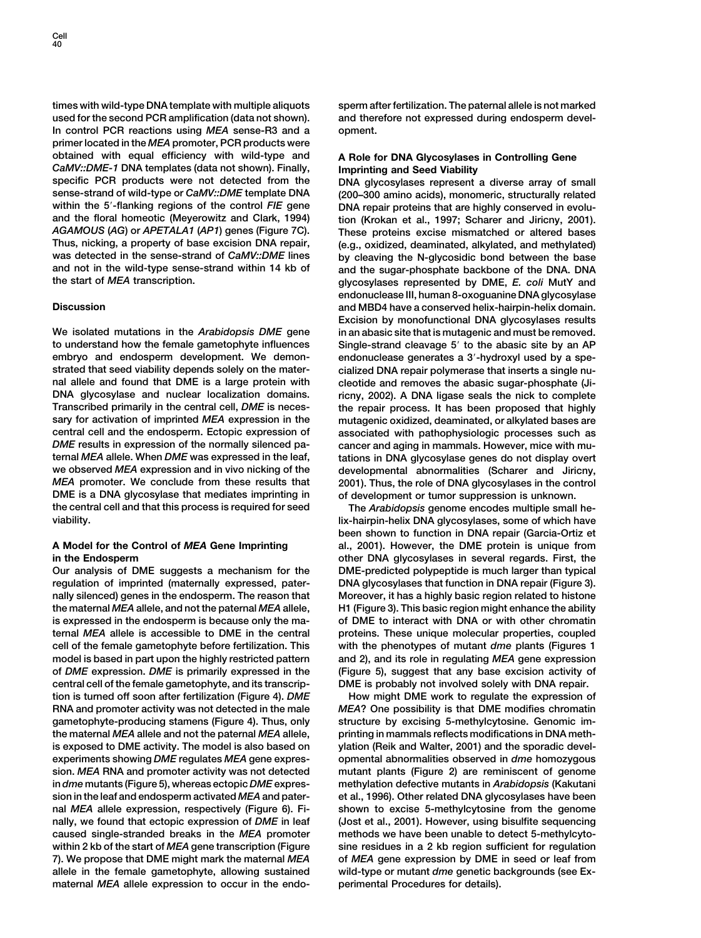**times with wild-type DNA template with multiple aliquots sperm after fertilization. The paternal allele is not marked used for the second PCR amplification (data not shown). and therefore not expressed during endosperm devel-In control PCR reactions using** *MEA* **sense-R3 and a opment. primer located in the** *MEA* **promoter, PCR products were obtained with equal efficiency with wild-type and A Role for DNA Glycosylases in Controlling Gene** *CaMV::DME-1* **DNA templates (data not shown). Finally, Imprinting and Seed Viability** specific PCR products were not detected from the **DNA glycosylases represent a diverse array of small**<br>sense-strand of wild-type or *CaMV::DME* template DNA (200–300 amino acids), monomeric, structurally related within the 5'-flanking regions of the control *FIE* gene<br>
2001, and the floral homeotic (Meyerowitz and Clark, 1994) ion (Krokan et al., 1997: Scharer and Jiricny, 2001) **and the floral homeotic (Meyerowitz and Clark, 1994) tion (Krokan et al., 1997; Scharer and Jiricny, 2001).** *AGAMOUS* **(***AG***) or** *APETALA1* **(***AP1***) genes (Figure 7C). These proteins excise mismatched or altered bases Thus, nicking, a property of base excision DNA repair, (e.g., oxidized, deaminated, alkylated, and methylated) was detected in the sense-strand of** *CaMV::DME* **lines by cleaving the N-glycosidic bond between the base**

**to understand how the female gametophyte influences Single-strand cleavage 5 to the abasic site by an AP embryo and endosperm development. We demon- endonuclease generates a 3-hydroxyl used by a spestrated that seed viability depends solely on the mater- cialized DNA repair polymerase that inserts a single nunal allele and found that DME is a large protein with cleotide and removes the abasic sugar-phosphate (Ji-DNA glycosylase and nuclear localization domains. ricny, 2002). A DNA ligase seals the nick to complete Transcribed primarily in the central cell,** *DME* **is neces- the repair process. It has been proposed that highly sary for activation of imprinted** *MEA* **expression in the mutagenic oxidized, deaminated, or alkylated bases are** *DME* **results in expression of the normally silenced pa- cancer and aging in mammals. However, mice with muternal** *MEA* **allele. When** *DME* **was expressed in the leaf, tations in DNA glycosylase genes do not display overt we observed** *MEA* **expression and in vivo nicking of the developmental abnormalities (Scharer and Jiricny,** *MEA* **promoter. We conclude from these results that 2001). Thus, the role of DNA glycosylases in the control DME is a DNA glycosylase that mediates imprinting in of development or tumor suppression is unknown. the central cell and that this process is required for seed The** *Arabidopsis* **genome encodes multiple small heviability. lix-hairpin-helix DNA glycosylases, some of which have**

**Our analysis of DME suggests a mechanism for the DME-predicted polypeptide is much larger than typical regulation of imprinted (maternally expressed, pater- DNA glycosylases that function in DNA repair (Figure 3). nally silenced) genes in the endosperm. The reason that Moreover, it has a highly basic region related to histone the maternal** *MEA* **allele, and not the paternal** *MEA* **allele, H1 (Figure 3). This basic region might enhance the ability is expressed in the endosperm is because only the ma- of DME to interact with DNA or with other chromatin ternal** *MEA* **allele is accessible to DME in the central proteins. These unique molecular properties, coupled cell of the female gametophyte before fertilization. This with the phenotypes of mutant** *dme* **plants (Figures 1 model is based in part upon the highly restricted pattern and 2), and its role in regulating** *MEA* **gene expression of** *DME* **expression.** *DME* **is primarily expressed in the (Figure 5), suggest that any base excision activity of central cell of the female gametophyte, and its transcrip- DME is probably not involved solely with DNA repair. tion is turned off soon after fertilization (Figure 4).** *DME* **How might DME work to regulate the expression of RNA and promoter activity was not detected in the male** *MEA***? One possibility is that DME modifies chromatin gametophyte-producing stamens (Figure 4). Thus, only structure by excising 5-methylcytosine. Genomic imthe maternal** *MEA* **allele and not the paternal** *MEA* **allele, printing in mammals reflects modifications in DNA methis exposed to DME activity. The model is also based on ylation (Reik and Walter, 2001) and the sporadic develexperiments showing** *DME* **regulates** *MEA* **gene expres- opmental abnormalities observed in** *dme* **homozygous sion.** *MEA* **RNA and promoter activity was not detected mutant plants (Figure 2) are reminiscent of genome in** *dme* **mutants (Figure 5), whereas ectopic** *DME* **expres- methylation defective mutants in** *Arabidopsis* **(Kakutani sion in the leaf and endosperm activated** *MEA* **and pater- et al., 1996). Other related DNA glycosylases have been nal** *MEA* **allele expression, respectively (Figure 6). Fi- shown to excise 5-methylcytosine from the genome nally, we found that ectopic expression of** *DME* **in leaf (Jost et al., 2001). However, using bisulfite sequencing caused single-stranded breaks in the** *MEA* **promoter methods we have been unable to detect 5-methylcytowithin 2 kb of the start of** *MEA* **gene transcription (Figure sine residues in a 2 kb region sufficient for regulation 7). We propose that DME might mark the maternal** *MEA* **of** *MEA* **gene expression by DME in seed or leaf from allele in the female gametophyte, allowing sustained wild-type or mutant** *dme* **genetic backgrounds (see Exmaternal** *MEA* **allele expression to occur in the endo- perimental Procedures for details).**

**sense-strand of wild-type or** *CaMV::DME* **template DNA (200–300 amino acids), monomeric, structurally related** and the sugar-phosphate backbone of the DNA. DNA **the start of** *MEA* **transcription. glycosylases represented by DME,** *E. coli* **MutY and endonuclease III, human 8-oxoguanine DNA glycosylase Discussion and MBD4 have a conserved helix-hairpin-helix domain. Excision by monofunctional DNA glycosylases results We isolated mutations in the** *Arabidopsis DME* **gene in an abasic site that is mutagenic and must be removed. central cell and the endosperm. Ectopic expression of associated with pathophysiologic processes such as**

**been shown to function in DNA repair (Garcia-Ortiz et A Model for the Control of** *MEA* **Gene Imprinting al., 2001). However, the DME protein is unique from in the Endosperm other DNA glycosylases in several regards. First, the**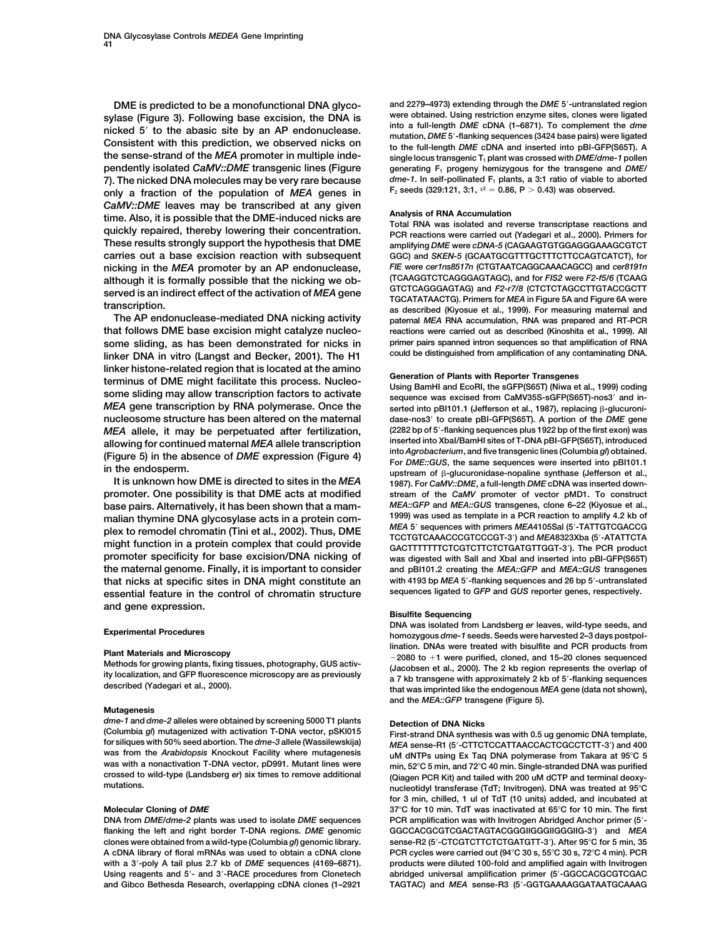sylase (Figure 3). Following base excision, the DNA is<br>nicked 5' to the abasic site by an AP endonuclease.<br>Consistent with this prediction, we observed nicks on the full-length DME cDNA (1-6871). To complement the dme<br>to t the sense-strand of the *MEA* promoter in multiple inde-<br>
single locus transgenic T<sub>1</sub> plant was crossed with *DME/dme-1* pollen **pendently isolated CaMV::DME** transgenic lines (Figure generating F<sub>1</sub> progeny hemizygous for the transgene and *DME/* **7). The nicked DNA molecules may be very rare because** *dme-1***. In self-pollinated F1 plants, a 3:1 ratio of viable to aborted 2 0.86 0.86 0.86 0.86 0.85** *0.86* **<b>***0.86 0.86* **<b>***D.86 0.86* **<b>***D.86* **<b>***P.96 0.96 0.96 0.96* **<b>***0.96 0.96 0.96* **<b>***0.96 0.96 0.99* **<b>***0.99 0.99 0.* CaMV::DME leaves may be transcribed at any given<br>time. Also, it is possible that the DME-induced nicks are<br>quickly repaired, thereby lowering their concentration.<br>These results strongly support the hypothesis that DME<br>Thes

**some sliding, as has been demonstrated for nicks in** primer pairs spanned intron sequences so that amplification of RNA<br>**linker DNA** in vitro (Langst and Becker 2001) The H1<sup>could</sup> be distinguished from amplification of a linker DNA in vitro (Langst and Becker, 2001). The H1 linker histone-related region that is located at the amino<br>terminus of DME might facilitate this process. Nucleo-<br>some sliding may allow transcription factors to activate<br>MEA gene transcription by RNA polymerase. Once the<br> **nucleosome structure has been altered on the maternal** 

**It is unknown how DME is directed to sites in the** *MEA* **1987). For** *CaMV::DME***, a full-length** *DME* **cDNA was inserted downbase pairs. Alternatively, it has been shown that a mam-** *MEA::GFP* **and** *MEA::GUS* **transgenes, clone 6–22 (Kiyosue et al.,** malian thymine DNA glycosylase acts in a protein com-<br>*MEA 5'* sequences with primers MEA4105Sal (5'-TATTGTCGACCG<br>MEA 5' sequences with primers MEA4105Sal (5'-TATTGTCGACCG plex to remodel chromatin (Tini et al., 2002). Thus, DME<br>might function in a protein complex that could provide<br>promoter specificity for base excision/DNA nicking of<br>was dinested with Sall and Xbal and inserted into nBLGEP **the maternal genome. Finally, it is important to consider and pBI101.2 creating the** *MEA::GFP* **and** *MEA::GUS* **transgenes that nicks at specific sites in DNA might constitute an with 4193 bp** *MEA* **5-flanking sequences and 26 bp 5-untranslated essential feature in the control of chromatin structure and gene expression. Bisulfite Sequencing** 

### **Mutagenesis**

*dme-1* and *dme-2* alleles were obtained by screening 5000 T1 plants **Detection of DNA Nicks**<br>(Columbia *gl*) mutagenized with activation T-DNA vector, pSKI015 First-strand DNA synthes

**DME is predicted to be a monofunctional DNA glyco- and 2279–4973) extending through the** *DME* **5-untranslated region**  $F_2$  seeds (329:121, 3:1,  $x^2 = 0.86$ ,  $P > 0.43$ ) was observed.

**These results strongly support the hypothesis that DME amplifying** *DME* **were** *cDNA-5* **(CAGAAGTGTGGAGGGAAAGCGTCT carries out a base excision reaction with subsequent GGC) and** *SKEN-5* **(GCAATGCGTTTGCTTTCTTCCAGTCATCT), for nicking in the** *MEA* **promoter by an AP endonuclease,** *FIE* **were** *cer1ns8517n* **(CTGTAATCAGGCAAACAGCC) and** *cer8191n* although it is formally possible that the nicking we ob-<br>served is an indirect effect of the activation of MEA gene<br>transcription.<br>TGCATAGGGAGTAG) and F2-r7/8 (CTCTCTAGCCTTGTACCGCTT<br>as described (Kivosue et al., 1999). For **The AP endonuclease-mediated DNA nicking activity paternal** *MEA* **RNA accumulation, RNA was prepared and RT-PCR that follows DME base excision might catalyze nucleo- reactions were carried out as described (Kinoshita et al., 1999). All**

*MEA* **heapa** into pBI101.1 (Jefferson et al., 1987), replacing β-glucuroni-<br>dase-nos3' to create pBI-GFP(S65T). A portion of the *DME* gene *MEA* allele, it may be perpetuated after fertilization, (2282 bp of 5'-flanking sequences plus 1922 bp of the first exon) was<br>allowing for continued maternal *MEA* allele transcription inserted into Xbal/BamHI sites of Tallowing for continued maternal MEA allele transcription<br>
(Figure 4) in the absence of DME expression (Figure 4) into Agrobacterium, and five transgenic lines (Columbia gl) obtained.<br>
in the endosperm.<br>
It is unknown how stream of the CaMV promoter of vector pMD1. To construct **promoter specificity for base excision/DNA nicking of was digested with SalI and XbaI and inserted into pBI-GFP(S65T)**

**DNA was isolated from Landsberg** *er* **leaves, wild-type seeds, and Experimental Procedures homozygous** *dme-1* **seeds. Seeds were harvested 2–3 days postpol-**Plant Materials and Microscopy<br>
Methods for growing plants, fixing tissues, photography, GUS activ-<br>
Methods for growing plants, fixing tissues, photography, GUS activ-<br>
ity localization, and GFP fluorescence microscopy ar **and the** *MEA::GFP* **transgene (Figure 5).**

**(Columbia** *gl***) mutagenized with activation T-DNA vector, pSKI015 First-strand DNA synthesis was with 0.5 ug genomic DNA template, for siliques with 50% seed abortion. The** *dme-3* **allele (Wassilewskija)** *MEA* **sense-R1 (5-CTTCTCCATTAACCACTCGCCTCTT-3) and 400 was from the** *Arabidopsis* **Knockout Facility where mutagenesis uM dNTPs using Ex Taq DNA polymerase from Takara at 95C 5** was with a nonactivation I-DNA vector, pD991. Mutant lines were min, 52°C 5 min, and 72°C 40 min. Single-stranded DNA was purified<br>crossed to wild-type (Landsberg er) six times to remove additional (Qiagen PCR Kit) and ta **mutations. nucleotidyl transferase (TdT; Invitrogen). DNA was treated at 95C for 3 min, chilled, 1 ul of TdT (10 units) added, and incubated at Molecular Cloning of** *DME* **37C for 10 min. TdT was inactivated at 65C for 10 min. The first DNA from** *DME/dme-2* **plants was used to isolate** *DME* **sequences PCR amplification was with Invitrogen Abridged Anchor primer (5 flanking the left and right border T-DNA regions.** *DME* **genomic GGCCACGCGTCGACTAGTACGGGIIGGGIIGGGIIG-3) and** *MEA* **clones were obtained from a wild-type (Columbia** *gl***) genomic library. sense-R2 (5-CTCGTCTTCTCTGATGTT-3). After 95C for 5 min, 35 A cDNA library of floral mRNAs was used to obtain a cDNA clone PCR cycles were carried out (94C 30 s, 55C 30 s, 72C 4 min). PCR** with a 3'-poly A tail plus 2.7 kb of *DME* sequences (4169–6871). products were diluted 100-fold and amplified again with Invitrogen **Using reagents and 5- and 3-RACE procedures from Clonetech abridged universal amplification primer (5-GGCCACGCGTCGAC and Gibco Bethesda Research, overlapping cDNA clones (1–2921 TAGTAC) and** *MEA* **sense-R3 (5-GGTGAAAAGGATAATGCAAAG**